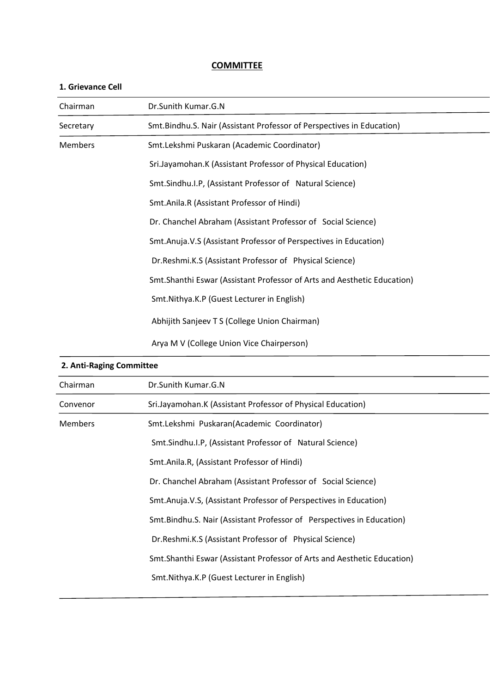# **COMMITTEE**

| <b>1. טווכימוונכ ככוו</b> |                                                                          |
|---------------------------|--------------------------------------------------------------------------|
| Chairman                  | Dr.Sunith Kumar.G.N                                                      |
| Secretary                 | Smt.Bindhu.S. Nair (Assistant Professor of Perspectives in Education)    |
| <b>Members</b>            | Smt.Lekshmi Puskaran (Academic Coordinator)                              |
|                           | Sri.Jayamohan.K (Assistant Professor of Physical Education)              |
|                           | Smt.Sindhu.I.P, (Assistant Professor of Natural Science)                 |
|                           | Smt.Anila.R (Assistant Professor of Hindi)                               |
|                           | Dr. Chanchel Abraham (Assistant Professor of Social Science)             |
|                           | Smt.Anuja.V.S (Assistant Professor of Perspectives in Education)         |
|                           | Dr.Reshmi.K.S (Assistant Professor of Physical Science)                  |
|                           | Smt. Shanthi Eswar (Assistant Professor of Arts and Aesthetic Education) |
|                           | Smt.Nithya.K.P (Guest Lecturer in English)                               |
|                           | Abhijith Sanjeev T S (College Union Chairman)                            |
|                           | Arya M V (College Union Vice Chairperson)                                |

# **1. Grievance Cell**

| 2. Anti-Raging Committee |                                                                          |
|--------------------------|--------------------------------------------------------------------------|
| Chairman                 | Dr.Sunith Kumar.G.N                                                      |
| Convenor                 | Sri.Jayamohan.K (Assistant Professor of Physical Education)              |
| <b>Members</b>           | Smt.Lekshmi Puskaran(Academic Coordinator)                               |
|                          | Smt.Sindhu.I.P, (Assistant Professor of Natural Science)                 |
|                          | Smt.Anila.R, (Assistant Professor of Hindi)                              |
|                          | Dr. Chanchel Abraham (Assistant Professor of Social Science)             |
|                          | Smt.Anuja.V.S, (Assistant Professor of Perspectives in Education)        |
|                          | Smt. Bindhu. S. Nair (Assistant Professor of Perspectives in Education)  |
|                          | Dr. Reshmi. K.S (Assistant Professor of Physical Science)                |
|                          | Smt. Shanthi Eswar (Assistant Professor of Arts and Aesthetic Education) |
|                          | Smt.Nithya.K.P (Guest Lecturer in English)                               |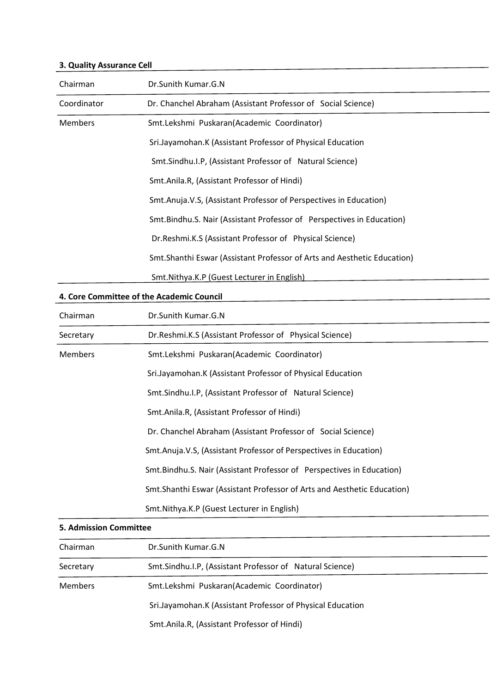# **3. Quality Assurance Cell**

| Chairman       | Dr.Sunith Kumar.G.N                                                      |
|----------------|--------------------------------------------------------------------------|
| Coordinator    | Dr. Chanchel Abraham (Assistant Professor of Social Science)             |
| <b>Members</b> | Smt.Lekshmi Puskaran(Academic Coordinator)                               |
|                | Sri.Jayamohan.K (Assistant Professor of Physical Education               |
|                | Smt.Sindhu.I.P, (Assistant Professor of Natural Science)                 |
|                | Smt.Anila.R, (Assistant Professor of Hindi)                              |
|                | Smt.Anuja.V.S, (Assistant Professor of Perspectives in Education)        |
|                | Smt. Bindhu. S. Nair (Assistant Professor of Perspectives in Education)  |
|                | Dr. Reshmi. K.S (Assistant Professor of Physical Science)                |
|                | Smt. Shanthi Eswar (Assistant Professor of Arts and Aesthetic Education) |
|                | Smt. Nithya. K.P (Guest Lecturer in English)                             |

#### **4. Core Committee of the Academic Council**

| Chairman       | Dr.Sunith Kumar.G.N                                                      |
|----------------|--------------------------------------------------------------------------|
| Secretary      | Dr. Reshmi. K.S (Assistant Professor of Physical Science)                |
| <b>Members</b> | Smt.Lekshmi Puskaran(Academic Coordinator)                               |
|                | Sri.Jayamohan.K (Assistant Professor of Physical Education               |
|                | Smt.Sindhu.I.P, (Assistant Professor of Natural Science)                 |
|                | Smt.Anila.R, (Assistant Professor of Hindi)                              |
|                | Dr. Chanchel Abraham (Assistant Professor of Social Science)             |
|                | Smt.Anuja.V.S, (Assistant Professor of Perspectives in Education)        |
|                | Smt. Bindhu. S. Nair (Assistant Professor of Perspectives in Education)  |
|                | Smt. Shanthi Eswar (Assistant Professor of Arts and Aesthetic Education) |
|                | Smt. Nithya. K.P (Guest Lecturer in English)                             |

# **5. Admission Committee**

| Chairman       | Dr.Sunith Kumar.G.N                                        |  |
|----------------|------------------------------------------------------------|--|
| Secretary      | Smt.Sindhu.I.P, (Assistant Professor of Natural Science)   |  |
| <b>Members</b> | Smt.Lekshmi Puskaran(Academic Coordinator)                 |  |
|                | Sri.Jayamohan.K (Assistant Professor of Physical Education |  |
|                | Smt.Anila.R, (Assistant Professor of Hindi)                |  |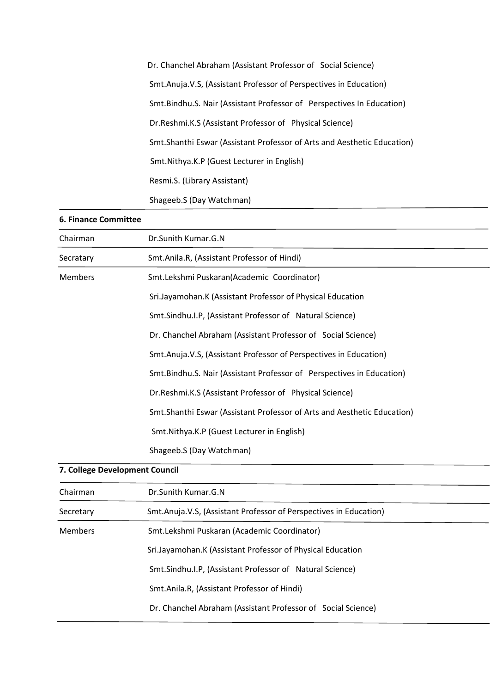| Dr. Chanchel Abraham (Assistant Professor of Social Science)             |
|--------------------------------------------------------------------------|
| Smt.Anuja.V.S, (Assistant Professor of Perspectives in Education)        |
| Smt.Bindhu.S. Nair (Assistant Professor of Perspectives In Education)    |
| Dr. Reshmi. K.S (Assistant Professor of Physical Science)                |
| Smt. Shanthi Eswar (Assistant Professor of Arts and Aesthetic Education) |
| Smt. Nithya. K.P (Guest Lecturer in English)                             |
| Resmi.S. (Library Assistant)                                             |
| Shageeb.S (Day Watchman)                                                 |
|                                                                          |

# **6. Finance Committee**

| Chairman                       | Dr.Sunith Kumar.G.N                                                      |
|--------------------------------|--------------------------------------------------------------------------|
| Secratary                      | Smt.Anila.R, (Assistant Professor of Hindi)                              |
| <b>Members</b>                 | Smt.Lekshmi Puskaran(Academic Coordinator)                               |
|                                | Sri.Jayamohan.K (Assistant Professor of Physical Education               |
|                                | Smt.Sindhu.I.P, (Assistant Professor of Natural Science)                 |
|                                | Dr. Chanchel Abraham (Assistant Professor of Social Science)             |
|                                | Smt.Anuja.V.S, (Assistant Professor of Perspectives in Education)        |
|                                | Smt. Bindhu. S. Nair (Assistant Professor of Perspectives in Education)  |
|                                | Dr.Reshmi.K.S (Assistant Professor of Physical Science)                  |
|                                | Smt. Shanthi Eswar (Assistant Professor of Arts and Aesthetic Education) |
|                                | Smt. Nithya. K.P (Guest Lecturer in English)                             |
|                                | Shageeb.S (Day Watchman)                                                 |
| 7. College Development Council |                                                                          |

| Dr.Sunith Kumar.G.N                                               |
|-------------------------------------------------------------------|
|                                                                   |
| Smt.Anuja.V.S, (Assistant Professor of Perspectives in Education) |
| Smt.Lekshmi Puskaran (Academic Coordinator)                       |
| Sri.Jayamohan.K (Assistant Professor of Physical Education        |
| Smt.Sindhu.I.P, (Assistant Professor of Natural Science)          |
| Smt.Anila.R, (Assistant Professor of Hindi)                       |
| Dr. Chanchel Abraham (Assistant Professor of Social Science)      |
|                                                                   |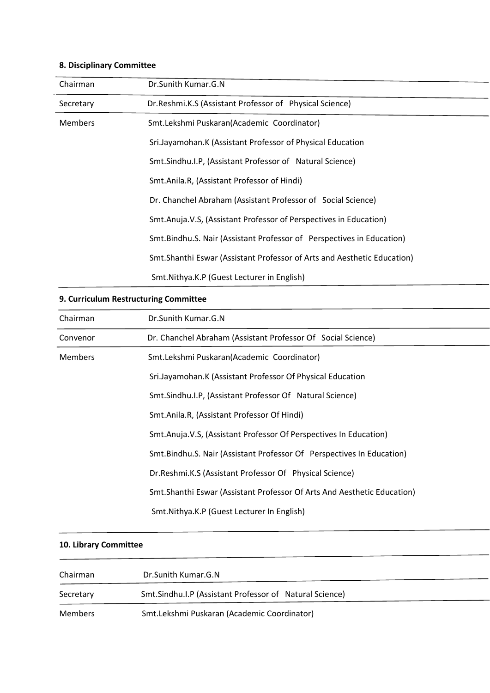# **8. Disciplinary Committee**

| Chairman       | Dr.Sunith Kumar.G.N                                                      |
|----------------|--------------------------------------------------------------------------|
| Secretary      | Dr. Reshmi. K.S (Assistant Professor of Physical Science)                |
| <b>Members</b> | Smt.Lekshmi Puskaran(Academic Coordinator)                               |
|                | Sri.Jayamohan.K (Assistant Professor of Physical Education               |
|                | Smt.Sindhu.I.P, (Assistant Professor of Natural Science)                 |
|                | Smt.Anila.R, (Assistant Professor of Hindi)                              |
|                | Dr. Chanchel Abraham (Assistant Professor of Social Science)             |
|                | Smt.Anuja.V.S, (Assistant Professor of Perspectives in Education)        |
|                | Smt. Bindhu. S. Nair (Assistant Professor of Perspectives in Education)  |
|                | Smt. Shanthi Eswar (Assistant Professor of Arts and Aesthetic Education) |
|                | Smt. Nithya. K.P (Guest Lecturer in English)                             |

# **9. Curriculum Restructuring Committee**

| Chairman       | Dr.Sunith Kumar.G.N                                                      |
|----------------|--------------------------------------------------------------------------|
| Convenor       | Dr. Chanchel Abraham (Assistant Professor Of Social Science)             |
| <b>Members</b> | Smt.Lekshmi Puskaran(Academic Coordinator)                               |
|                | Sri.Jayamohan.K (Assistant Professor Of Physical Education               |
|                | Smt.Sindhu.I.P, (Assistant Professor Of Natural Science)                 |
|                | Smt.Anila.R, (Assistant Professor Of Hindi)                              |
|                | Smt.Anuja.V.S, (Assistant Professor Of Perspectives In Education)        |
|                | Smt. Bindhu. S. Nair (Assistant Professor Of Perspectives In Education)  |
|                | Dr. Reshmi. K.S (Assistant Professor Of Physical Science)                |
|                | Smt. Shanthi Eswar (Assistant Professor Of Arts And Aesthetic Education) |
|                | Smt.Nithya.K.P (Guest Lecturer In English)                               |

# **10. Library Committee**

| Chairman  | Dr.Sunith Kumar.G.N                                       |
|-----------|-----------------------------------------------------------|
| Secretary | Smt. Sindhu. I.P (Assistant Professor of Natural Science) |
| Members   | Smt.Lekshmi Puskaran (Academic Coordinator)               |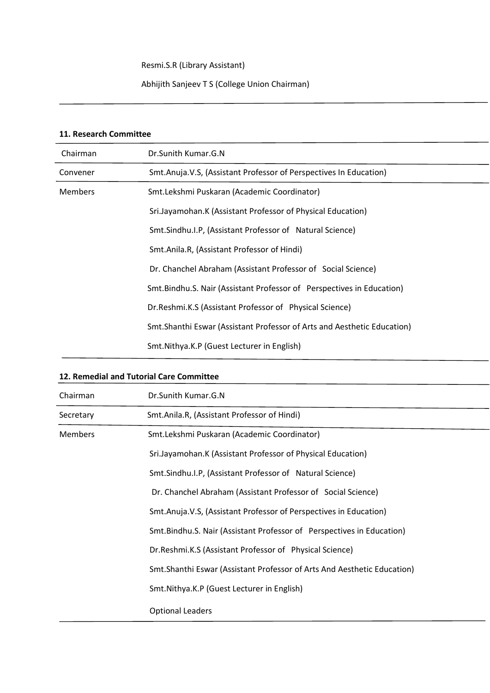Resmi.S.R (Library Assistant)

Abhijith Sanjeev T S (College Union Chairman)

## **11. Research Committee**

<u>.</u>

| Chairman       | Dr.Sunith Kumar.G.N                                                      |
|----------------|--------------------------------------------------------------------------|
| Convener       | Smt.Anuja.V.S, (Assistant Professor of Perspectives In Education)        |
| <b>Members</b> | Smt.Lekshmi Puskaran (Academic Coordinator)                              |
|                | Sri.Jayamohan.K (Assistant Professor of Physical Education)              |
|                | Smt.Sindhu.I.P, (Assistant Professor of Natural Science)                 |
|                | Smt.Anila.R, (Assistant Professor of Hindi)                              |
|                | Dr. Chanchel Abraham (Assistant Professor of Social Science)             |
|                | Smt.Bindhu.S. Nair (Assistant Professor of Perspectives in Education)    |
|                | Dr.Reshmi.K.S (Assistant Professor of Physical Science)                  |
|                | Smt. Shanthi Eswar (Assistant Professor of Arts and Aesthetic Education) |
|                | Smt. Nithya. K.P (Guest Lecturer in English)                             |

#### **12. Remedial and Tutorial Care Committee**

| Chairman       | Dr.Sunith Kumar.G.N                                                      |
|----------------|--------------------------------------------------------------------------|
| Secretary      | Smt.Anila.R, (Assistant Professor of Hindi)                              |
| <b>Members</b> | Smt.Lekshmi Puskaran (Academic Coordinator)                              |
|                | Sri.Jayamohan.K (Assistant Professor of Physical Education)              |
|                | Smt.Sindhu.I.P, (Assistant Professor of Natural Science)                 |
|                | Dr. Chanchel Abraham (Assistant Professor of Social Science)             |
|                | Smt.Anuja.V.S, (Assistant Professor of Perspectives in Education)        |
|                | Smt.Bindhu.S. Nair (Assistant Professor of Perspectives in Education)    |
|                | Dr. Reshmi. K.S (Assistant Professor of Physical Science)                |
|                | Smt. Shanthi Eswar (Assistant Professor of Arts And Aesthetic Education) |
|                | Smt. Nithya. K.P (Guest Lecturer in English)                             |
|                | <b>Optional Leaders</b>                                                  |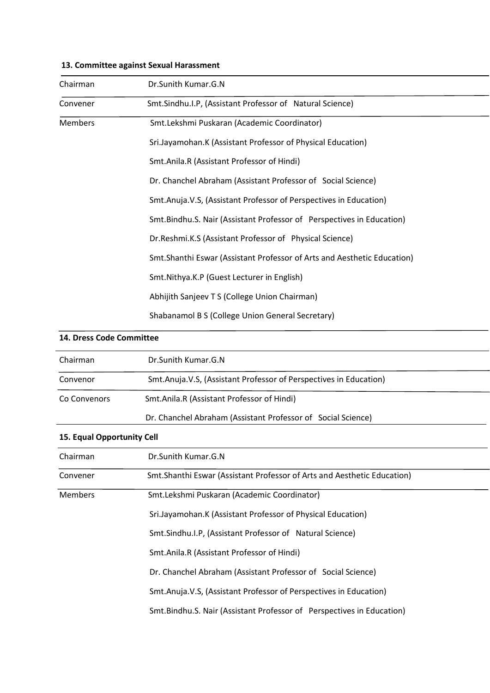| Chairman       | Dr.Sunith Kumar.G.N                                                      |
|----------------|--------------------------------------------------------------------------|
| Convener       | Smt.Sindhu.I.P, (Assistant Professor of Natural Science)                 |
| <b>Members</b> | Smt.Lekshmi Puskaran (Academic Coordinator)                              |
|                | Sri.Jayamohan.K (Assistant Professor of Physical Education)              |
|                | Smt.Anila.R (Assistant Professor of Hindi)                               |
|                | Dr. Chanchel Abraham (Assistant Professor of Social Science)             |
|                | Smt.Anuja.V.S, (Assistant Professor of Perspectives in Education)        |
|                | Smt.Bindhu.S. Nair (Assistant Professor of Perspectives in Education)    |
|                | Dr.Reshmi.K.S (Assistant Professor of Physical Science)                  |
|                | Smt. Shanthi Eswar (Assistant Professor of Arts and Aesthetic Education) |
|                | Smt.Nithya.K.P (Guest Lecturer in English)                               |
|                | Abhijith Sanjeev T S (College Union Chairman)                            |
|                | Shabanamol B S (College Union General Secretary)                         |

#### **13. Committee against Sexual Harassment**

# **14. Dress Code Committee**  Chairman Dr.Sunith Kumar.G.N Convenor Smt.Anuja.V.S, (Assistant Professor of Perspectives in Education) Co Convenors Smt.Anila.R (Assistant Professor of Hindi) Dr. Chanchel Abraham (Assistant Professor of Social Science) **15. Equal Opportunity Cell**  Chairman Dr.Sunith Kumar.G.N Convener Smt.Shanthi Eswar (Assistant Professor of Arts and Aesthetic Education) Members Smt.Lekshmi Puskaran (Academic Coordinator) Sri.Jayamohan.K (Assistant Professor of Physical Education) Smt.Sindhu.I.P, (Assistant Professor of Natural Science) Smt.Anila.R (Assistant Professor of Hindi) Dr. Chanchel Abraham (Assistant Professor of Social Science) Smt.Anuja.V.S, (Assistant Professor of Perspectives in Education) Smt.Bindhu.S. Nair (Assistant Professor of Perspectives in Education)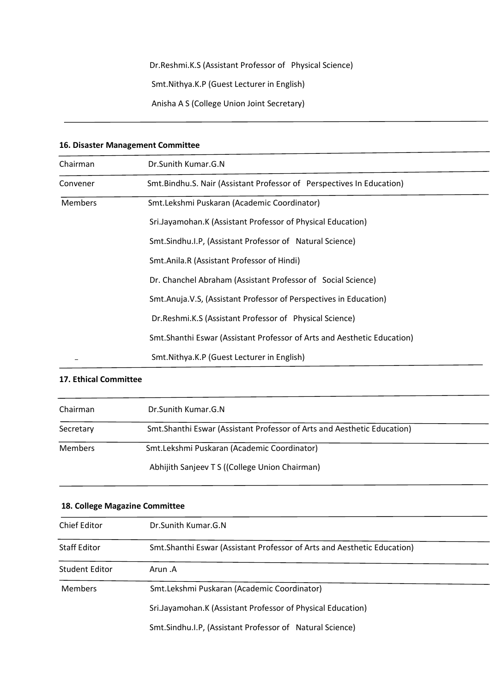# Dr.Reshmi.K.S (Assistant Professor of Physical Science)

Smt.Nithya.K.P (Guest Lecturer in English)

Anisha A S (College Union Joint Secretary)

| 10. Disaster ividinagement committee |                                                                          |  |
|--------------------------------------|--------------------------------------------------------------------------|--|
| Chairman                             | Dr.Sunith Kumar.G.N                                                      |  |
| Convener                             | Smt.Bindhu.S. Nair (Assistant Professor of Perspectives In Education)    |  |
| <b>Members</b>                       | Smt.Lekshmi Puskaran (Academic Coordinator)                              |  |
|                                      | Sri.Jayamohan.K (Assistant Professor of Physical Education)              |  |
|                                      | Smt.Sindhu.I.P, (Assistant Professor of Natural Science)                 |  |
|                                      | Smt.Anila.R (Assistant Professor of Hindi)                               |  |
|                                      | Dr. Chanchel Abraham (Assistant Professor of Social Science)             |  |
|                                      | Smt.Anuja.V.S, (Assistant Professor of Perspectives in Education)        |  |
|                                      | Dr. Reshmi.K.S (Assistant Professor of Physical Science)                 |  |
|                                      | Smt. Shanthi Eswar (Assistant Professor of Arts and Aesthetic Education) |  |
|                                      | Smt.Nithya.K.P (Guest Lecturer in English)                               |  |

#### **16. Disaster Management Committee**

## **17. Ethical Committee**

-

| Chairman       | Dr.Sunith Kumar.G.N                                                      |  |
|----------------|--------------------------------------------------------------------------|--|
| Secretary      | Smt. Shanthi Eswar (Assistant Professor of Arts and Aesthetic Education) |  |
| <b>Members</b> | Smt.Lekshmi Puskaran (Academic Coordinator)                              |  |
|                | Abhijith Sanjeev T S ((College Union Chairman)                           |  |

| 18. College Magazine Committee |                                                                          |
|--------------------------------|--------------------------------------------------------------------------|
| Chief Editor                   | Dr.Sunith Kumar.G.N                                                      |
| <b>Staff Editor</b>            | Smt. Shanthi Eswar (Assistant Professor of Arts and Aesthetic Education) |
| <b>Student Editor</b>          | Arun .A                                                                  |
| <b>Members</b>                 | Smt.Lekshmi Puskaran (Academic Coordinator)                              |
|                                | Sri.Jayamohan.K (Assistant Professor of Physical Education)              |
|                                | Smt.Sindhu.I.P, (Assistant Professor of Natural Science)                 |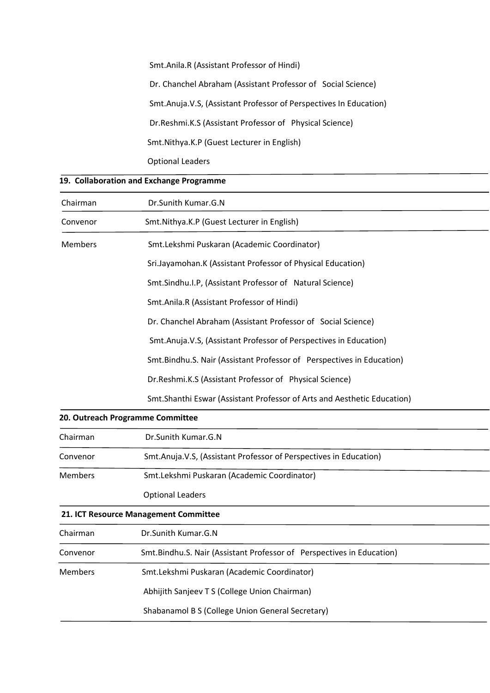Smt.Anila.R (Assistant Professor of Hindi) Dr. Chanchel Abraham (Assistant Professor of Social Science) Smt.Anuja.V.S, (Assistant Professor of Perspectives In Education) Dr.Reshmi.K.S (Assistant Professor of Physical Science) Smt.Nithya.K.P (Guest Lecturer in English) Optional Leaders

| 19. Collaboration and Exchange Programme |                                                                          |  |
|------------------------------------------|--------------------------------------------------------------------------|--|
| Chairman                                 | Dr.Sunith Kumar.G.N                                                      |  |
| Convenor                                 | Smt.Nithya.K.P (Guest Lecturer in English)                               |  |
| <b>Members</b>                           | Smt.Lekshmi Puskaran (Academic Coordinator)                              |  |
|                                          | Sri.Jayamohan.K (Assistant Professor of Physical Education)              |  |
|                                          | Smt.Sindhu.I.P, (Assistant Professor of Natural Science)                 |  |
|                                          | Smt.Anila.R (Assistant Professor of Hindi)                               |  |
|                                          | Dr. Chanchel Abraham (Assistant Professor of Social Science)             |  |
|                                          | Smt.Anuja.V.S, (Assistant Professor of Perspectives in Education)        |  |
|                                          | Smt.Bindhu.S. Nair (Assistant Professor of Perspectives in Education)    |  |
|                                          | Dr. Reshmi. K.S (Assistant Professor of Physical Science)                |  |
|                                          | Smt. Shanthi Eswar (Assistant Professor of Arts and Aesthetic Education) |  |
|                                          | 20. Outreach Programme Committee                                         |  |

| zu. Outreach Programme Committee |                                                                   |  |
|----------------------------------|-------------------------------------------------------------------|--|
| Chairman                         | Dr.Sunith Kumar.G.N                                               |  |
| Convenor                         | Smt.Anuja.V.S, (Assistant Professor of Perspectives in Education) |  |
| <b>Members</b>                   | Smt.Lekshmi Puskaran (Academic Coordinator)                       |  |
|                                  | <b>Optional Leaders</b>                                           |  |
|                                  | 31 ICT Deserves Management Committee                              |  |

| 21. ICT Resource Management Committee |                                                                       |  |
|---------------------------------------|-----------------------------------------------------------------------|--|
| Chairman                              | Dr.Sunith Kumar.G.N                                                   |  |
| Convenor                              | Smt.Bindhu.S. Nair (Assistant Professor of Perspectives in Education) |  |
| <b>Members</b>                        | Smt.Lekshmi Puskaran (Academic Coordinator)                           |  |
|                                       | Abhijith Sanjeev T S (College Union Chairman)                         |  |
|                                       | Shabanamol B S (College Union General Secretary)                      |  |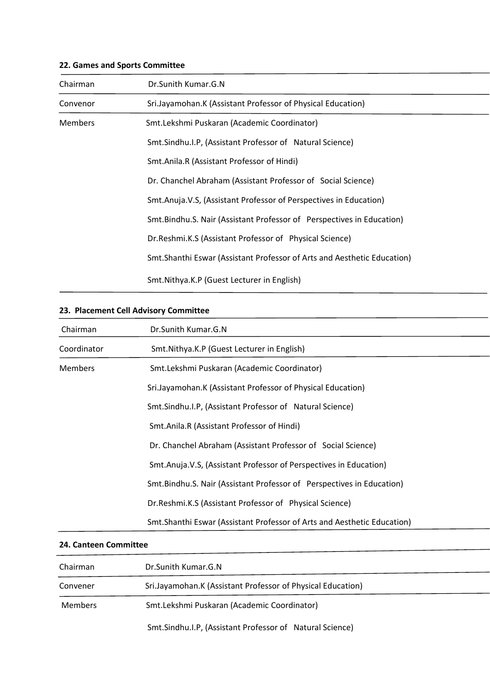# **22. Games and Sports Committee**

| Chairman       | Dr.Sunith Kumar.G.N                                                      |  |
|----------------|--------------------------------------------------------------------------|--|
| Convenor       | Sri.Jayamohan.K (Assistant Professor of Physical Education)              |  |
| <b>Members</b> | Smt.Lekshmi Puskaran (Academic Coordinator)                              |  |
|                | Smt.Sindhu.I.P, (Assistant Professor of Natural Science)                 |  |
|                | Smt.Anila.R (Assistant Professor of Hindi)                               |  |
|                | Dr. Chanchel Abraham (Assistant Professor of Social Science)             |  |
|                | Smt.Anuja.V.S, (Assistant Professor of Perspectives in Education)        |  |
|                | Smt.Bindhu.S. Nair (Assistant Professor of Perspectives in Education)    |  |
|                | Dr. Reshmi.K.S (Assistant Professor of Physical Science)                 |  |
|                | Smt. Shanthi Eswar (Assistant Professor of Arts and Aesthetic Education) |  |
|                | Smt. Nithya. K.P (Guest Lecturer in English)                             |  |

# **23. Placement Cell Advisory Committee**

| Chairman       | Dr.Sunith Kumar.G.N                                                      |
|----------------|--------------------------------------------------------------------------|
| Coordinator    | Smt. Nithya. K.P (Guest Lecturer in English)                             |
| <b>Members</b> | Smt.Lekshmi Puskaran (Academic Coordinator)                              |
|                | Sri.Jayamohan.K (Assistant Professor of Physical Education)              |
|                | Smt.Sindhu.I.P, (Assistant Professor of Natural Science)                 |
|                | Smt.Anila.R (Assistant Professor of Hindi)                               |
|                | Dr. Chanchel Abraham (Assistant Professor of Social Science)             |
|                | Smt.Anuja.V.S, (Assistant Professor of Perspectives in Education)        |
|                | Smt. Bindhu. S. Nair (Assistant Professor of Perspectives in Education)  |
|                | Dr. Reshmi.K.S (Assistant Professor of Physical Science)                 |
|                | Smt. Shanthi Eswar (Assistant Professor of Arts and Aesthetic Education) |

# **24. Canteen Committee**

| Chairman       | Dr.Sunith Kumar.G.N                                         |  |
|----------------|-------------------------------------------------------------|--|
| Convener       | Sri.Jayamohan.K (Assistant Professor of Physical Education) |  |
| <b>Members</b> | Smt.Lekshmi Puskaran (Academic Coordinator)                 |  |
|                | Smt.Sindhu.I.P, (Assistant Professor of Natural Science)    |  |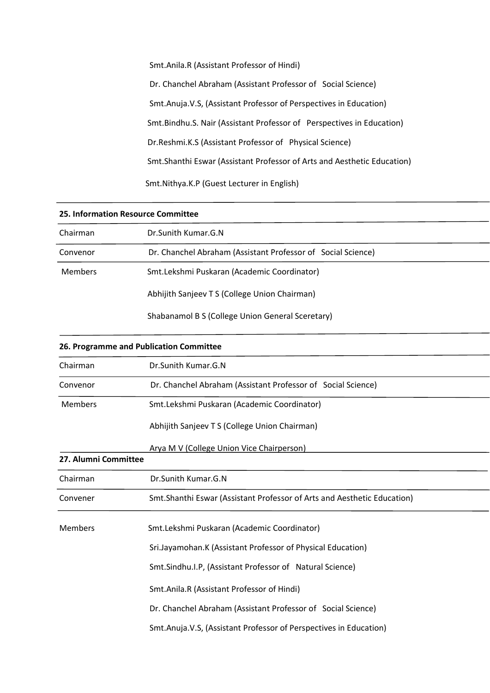Smt.Anila.R (Assistant Professor of Hindi) Dr. Chanchel Abraham (Assistant Professor of Social Science) Smt.Anuja.V.S, (Assistant Professor of Perspectives in Education) Smt.Bindhu.S. Nair (Assistant Professor of Perspectives in Education) Dr.Reshmi.K.S (Assistant Professor of Physical Science) Smt.Shanthi Eswar (Assistant Professor of Arts and Aesthetic Education) Smt.Nithya.K.P (Guest Lecturer in English)

| 25. Information Resource Committee |                                                                          |
|------------------------------------|--------------------------------------------------------------------------|
| Chairman                           | Dr.Sunith Kumar.G.N                                                      |
| Convenor                           | Dr. Chanchel Abraham (Assistant Professor of Social Science)             |
| <b>Members</b>                     | Smt.Lekshmi Puskaran (Academic Coordinator)                              |
|                                    | Abhijith Sanjeev T S (College Union Chairman)                            |
|                                    | Shabanamol B S (College Union General Sceretary)                         |
|                                    | 26. Programme and Publication Committee                                  |
| Chairman                           | Dr.Sunith Kumar.G.N                                                      |
| Convenor                           | Dr. Chanchel Abraham (Assistant Professor of Social Science)             |
| Members                            | Smt.Lekshmi Puskaran (Academic Coordinator)                              |
|                                    | Abhijith Sanjeev T S (College Union Chairman)                            |
|                                    | Arya M V (College Union Vice Chairperson)                                |
| 27. Alumni Committee               |                                                                          |
| Chairman                           | Dr.Sunith Kumar.G.N                                                      |
| Convener                           | Smt. Shanthi Eswar (Assistant Professor of Arts and Aesthetic Education) |
| <b>Members</b>                     | Smt.Lekshmi Puskaran (Academic Coordinator)                              |
|                                    | Sri.Jayamohan.K (Assistant Professor of Physical Education)              |
|                                    | Smt.Sindhu.I.P, (Assistant Professor of Natural Science)                 |
|                                    | Smt.Anila.R (Assistant Professor of Hindi)                               |
|                                    | Dr. Chanchel Abraham (Assistant Professor of Social Science)             |

Smt.Anuja.V.S, (Assistant Professor of Perspectives in Education)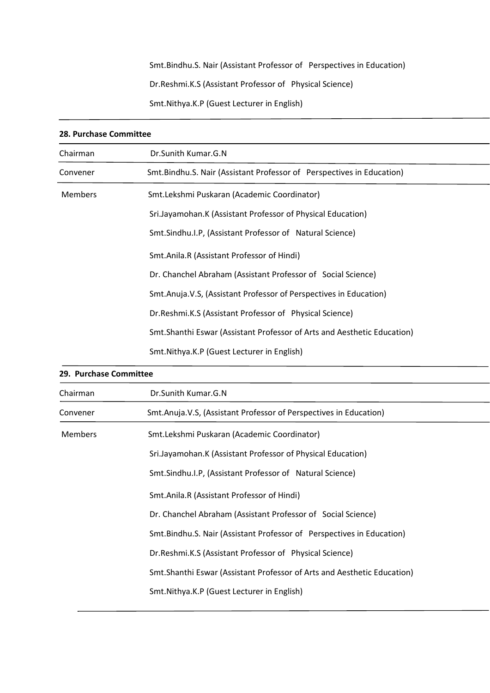Smt.Bindhu.S. Nair (Assistant Professor of Perspectives in Education)

Dr.Reshmi.K.S (Assistant Professor of Physical Science)

Smt.Nithya.K.P (Guest Lecturer in English)

| 28. Purchase Committee |                                                                          |
|------------------------|--------------------------------------------------------------------------|
| Chairman               | Dr.Sunith Kumar.G.N                                                      |
| Convener               | Smt.Bindhu.S. Nair (Assistant Professor of Perspectives in Education)    |
| <b>Members</b>         | Smt.Lekshmi Puskaran (Academic Coordinator)                              |
|                        | Sri.Jayamohan.K (Assistant Professor of Physical Education)              |
|                        | Smt.Sindhu.I.P, (Assistant Professor of Natural Science)                 |
|                        | Smt.Anila.R (Assistant Professor of Hindi)                               |
|                        | Dr. Chanchel Abraham (Assistant Professor of Social Science)             |
|                        | Smt.Anuja.V.S, (Assistant Professor of Perspectives in Education)        |
|                        | Dr.Reshmi.K.S (Assistant Professor of Physical Science)                  |
|                        | Smt. Shanthi Eswar (Assistant Professor of Arts and Aesthetic Education) |
|                        | Smt. Nithya. K.P (Guest Lecturer in English)                             |

| 29. Purchase Committee |                                                                          |
|------------------------|--------------------------------------------------------------------------|
| Chairman               | Dr.Sunith Kumar.G.N                                                      |
| Convener               | Smt.Anuja.V.S, (Assistant Professor of Perspectives in Education)        |
| <b>Members</b>         | Smt.Lekshmi Puskaran (Academic Coordinator)                              |
|                        | Sri.Jayamohan.K (Assistant Professor of Physical Education)              |
|                        | Smt.Sindhu.I.P, (Assistant Professor of Natural Science)                 |
|                        | Smt.Anila.R (Assistant Professor of Hindi)                               |
|                        | Dr. Chanchel Abraham (Assistant Professor of Social Science)             |
|                        | Smt.Bindhu.S. Nair (Assistant Professor of Perspectives in Education)    |
|                        | Dr. Reshmi. K.S (Assistant Professor of Physical Science)                |
|                        | Smt. Shanthi Eswar (Assistant Professor of Arts and Aesthetic Education) |
|                        | Smt. Nithya. K.P (Guest Lecturer in English)                             |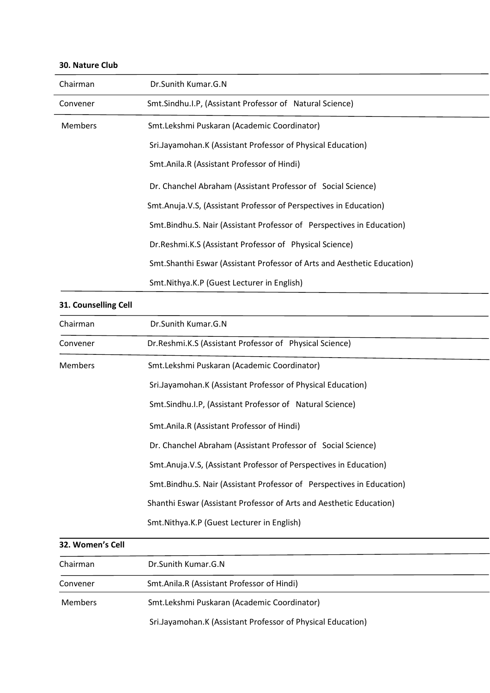| Chairman       | Dr. Sunith Kumar. G. N                                                   |
|----------------|--------------------------------------------------------------------------|
| Convener       | Smt.Sindhu.I.P, (Assistant Professor of Natural Science)                 |
| <b>Members</b> | Smt.Lekshmi Puskaran (Academic Coordinator)                              |
|                | Sri.Jayamohan.K (Assistant Professor of Physical Education)              |
|                | Smt.Anila.R (Assistant Professor of Hindi)                               |
|                | Dr. Chanchel Abraham (Assistant Professor of Social Science)             |
|                | Smt.Anuja.V.S, (Assistant Professor of Perspectives in Education)        |
|                | Smt. Bindhu. S. Nair (Assistant Professor of Perspectives in Education)  |
|                | Dr. Reshmi. K.S (Assistant Professor of Physical Science)                |
|                | Smt. Shanthi Eswar (Assistant Professor of Arts and Aesthetic Education) |
|                | Smt.Nithya.K.P (Guest Lecturer in English)                               |

#### **30. Nature Club**

# **31. Counselling Cell**

| Chairman         | Dr.Sunith Kumar.G.N                                                     |
|------------------|-------------------------------------------------------------------------|
| Convener         | Dr. Reshmi. K.S (Assistant Professor of Physical Science)               |
| <b>Members</b>   | Smt.Lekshmi Puskaran (Academic Coordinator)                             |
|                  | Sri.Jayamohan.K (Assistant Professor of Physical Education)             |
|                  | Smt.Sindhu.I.P, (Assistant Professor of Natural Science)                |
|                  | Smt.Anila.R (Assistant Professor of Hindi)                              |
|                  | Dr. Chanchel Abraham (Assistant Professor of Social Science)            |
|                  | Smt.Anuja.V.S, (Assistant Professor of Perspectives in Education)       |
|                  | Smt. Bindhu. S. Nair (Assistant Professor of Perspectives in Education) |
|                  | Shanthi Eswar (Assistant Professor of Arts and Aesthetic Education)     |
|                  | Smt. Nithya. K.P (Guest Lecturer in English)                            |
| 32. Women's Cell |                                                                         |
| Chairman         | Dr.Sunith Kumar.G.N                                                     |
|                  |                                                                         |

| Convener | Smt.Anila.R (Assistant Professor of Hindi)                  |  |
|----------|-------------------------------------------------------------|--|
| Members  | Smt.Lekshmi Puskaran (Academic Coordinator)                 |  |
|          | Sri.Jayamohan.K (Assistant Professor of Physical Education) |  |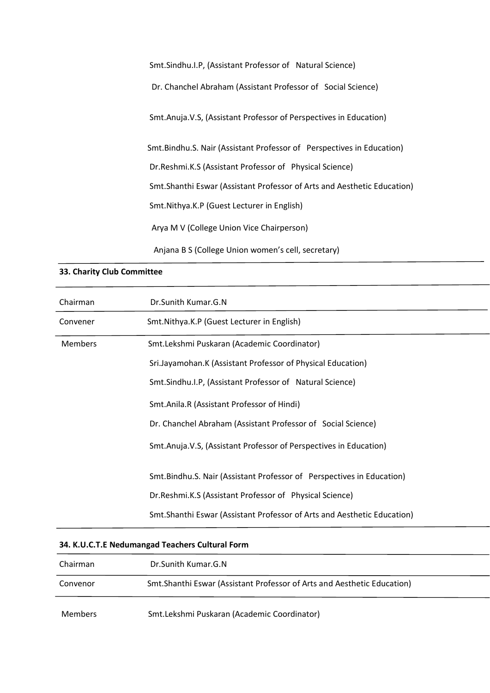Smt.Sindhu.I.P, (Assistant Professor of Natural Science)

Dr. Chanchel Abraham (Assistant Professor of Social Science)

Smt.Anuja.V.S, (Assistant Professor of Perspectives in Education)

Smt.Bindhu.S. Nair (Assistant Professor of Perspectives in Education)

Dr.Reshmi.K.S (Assistant Professor of Physical Science)

Smt.Shanthi Eswar (Assistant Professor of Arts and Aesthetic Education)

Smt.Nithya.K.P (Guest Lecturer in English)

Arya M V (College Union Vice Chairperson)

Anjana B S (College Union women's cell, secretary)

#### **33. Charity Club Committee**

| Chairman       | Dr.Sunith Kumar.G.N                                                      |
|----------------|--------------------------------------------------------------------------|
| Convener       | Smt.Nithya.K.P (Guest Lecturer in English)                               |
| <b>Members</b> | Smt.Lekshmi Puskaran (Academic Coordinator)                              |
|                | Sri.Jayamohan.K (Assistant Professor of Physical Education)              |
|                | Smt.Sindhu.I.P, (Assistant Professor of Natural Science)                 |
|                | Smt.Anila.R (Assistant Professor of Hindi)                               |
|                | Dr. Chanchel Abraham (Assistant Professor of Social Science)             |
|                | Smt.Anuja.V.S, (Assistant Professor of Perspectives in Education)        |
|                | Smt.Bindhu.S. Nair (Assistant Professor of Perspectives in Education)    |
|                | Dr. Reshmi. K.S (Assistant Professor of Physical Science)                |
|                | Smt. Shanthi Eswar (Assistant Professor of Arts and Aesthetic Education) |

#### **34. K.U.C.T.E Nedumangad Teachers Cultural Form**

| Chairman       | Dr.Sunith Kumar.G.N                                                      |
|----------------|--------------------------------------------------------------------------|
| Convenor       | Smt. Shanthi Eswar (Assistant Professor of Arts and Aesthetic Education) |
| <b>Members</b> | Smt.Lekshmi Puskaran (Academic Coordinator)                              |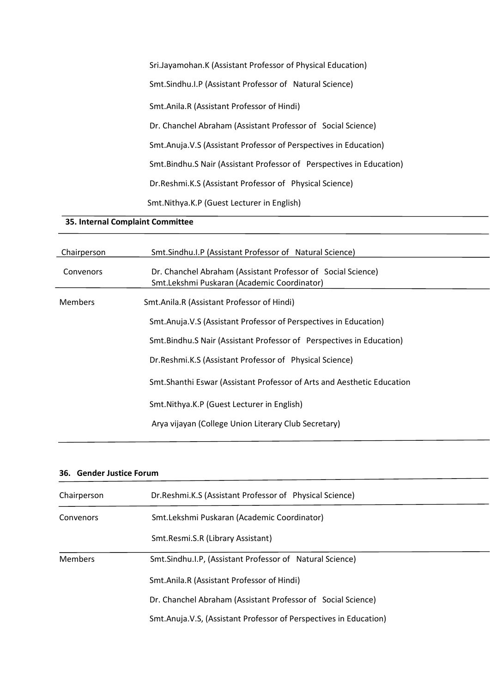Sri.Jayamohan.K (Assistant Professor of Physical Education) Smt.Sindhu.I.P (Assistant Professor of Natural Science) Smt.Anila.R (Assistant Professor of Hindi) Dr. Chanchel Abraham (Assistant Professor of Social Science) Smt.Anuja.V.S (Assistant Professor of Perspectives in Education) Smt.Bindhu.S Nair (Assistant Professor of Perspectives in Education) Dr.Reshmi.K.S (Assistant Professor of Physical Science) Smt.Nithya.K.P (Guest Lecturer in English)

## **35. Internal Complaint Committee**

| Chairperson    | Smt. Sindhu. I.P (Assistant Professor of Natural Science)                                                   |
|----------------|-------------------------------------------------------------------------------------------------------------|
| Convenors      | Dr. Chanchel Abraham (Assistant Professor of Social Science)<br>Smt.Lekshmi Puskaran (Academic Coordinator) |
| <b>Members</b> | Smt.Anila.R (Assistant Professor of Hindi)                                                                  |
|                | Smt. Anuja. V.S (Assistant Professor of Perspectives in Education)                                          |
|                | Smt. Bindhu. S Nair (Assistant Professor of Perspectives in Education)                                      |
|                | Dr. Reshmi. K.S (Assistant Professor of Physical Science)                                                   |
|                | Smt. Shanthi Eswar (Assistant Professor of Arts and Aesthetic Education                                     |
|                | Smt. Nithya. K.P (Guest Lecturer in English)                                                                |
|                | Arya vijayan (College Union Literary Club Secretary)                                                        |
|                |                                                                                                             |

## **36. Gender Justice Forum**

1

| Chairperson    | Dr. Reshmi. K.S (Assistant Professor of Physical Science)         |  |
|----------------|-------------------------------------------------------------------|--|
| Convenors      | Smt.Lekshmi Puskaran (Academic Coordinator)                       |  |
|                | Smt.Resmi.S.R (Library Assistant)                                 |  |
| <b>Members</b> | Smt.Sindhu.I.P, (Assistant Professor of Natural Science)          |  |
|                | Smt.Anila.R (Assistant Professor of Hindi)                        |  |
|                | Dr. Chanchel Abraham (Assistant Professor of Social Science)      |  |
|                | Smt.Anuja.V.S, (Assistant Professor of Perspectives in Education) |  |